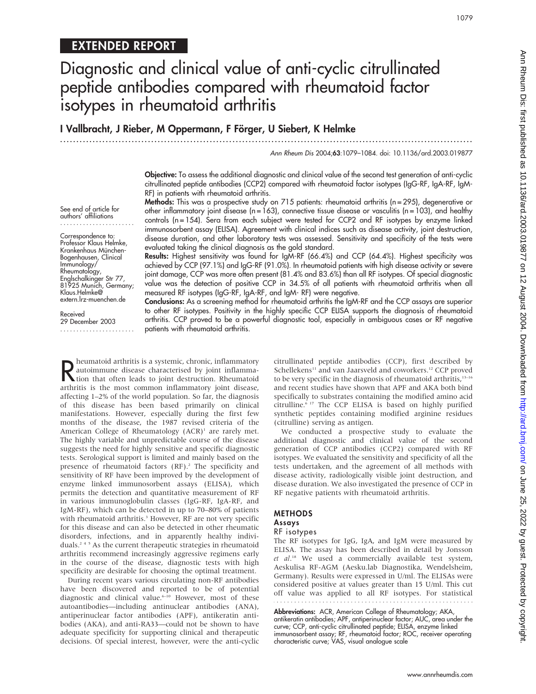# EXTENDED REPORT

See end of article for authors' affiliations ....................... Correspondence to: Professor Klaus Helmke, Krankenhaus München-Bogenhausen, Clinical Immunology/ Rheumatology, Englschalkinger Str 77, 81925 Munich, Germany; Klaus.Helmke@ extern.lrz-muenchen.de

Received 29 December 2003 .......................

# Diagnostic and clinical value of anti-cyclic citrullinated peptide antibodies compared with rheumatoid factor isotypes in rheumatoid arthritis

I Vallbracht, J Rieber, M Oppermann, F Förger, U Siebert, K Helmke

...............................................................................................................................

Ann Rheum Dis 2004;63:1079–1084. doi: 10.1136/ard.2003.019877

Objective: To assess the additional diagnostic and clinical value of the second test generation of anti-cyclic citrullinated peptide antibodies (CCP2) compared with rheumatoid factor isotypes (IgG-RF, IgA-RF, IgM-RF) in patients with rheumatoid arthritis.

Methods: This was a prospective study on 715 patients: rheumatoid arthritis (n=295), degenerative or other inflammatory joint disease (n = 163), connective tissue disease or vasculitis (n = 103), and healthy controls (n = 154). Sera from each subject were tested for CCP2 and RF isotypes by enzyme linked immunosorbent assay (ELISA). Agreement with clinical indices such as disease activity, joint destruction, disease duration, and other laboratory tests was assessed. Sensitivity and specificity of the tests were evaluated taking the clinical diagnosis as the gold standard.

Results: Highest sensitivity was found for IgM-RF (66.4%) and CCP (64.4%). Highest specificity was achieved by CCP (97.1%) and IgG-RF (91.0%). In rheumatoid patients with high disease activity or severe joint damage, CCP was more often present (81.4% and 83.6%) than all RF isotypes. Of special diagnostic value was the detection of positive CCP in 34.5% of all patients with rheumatoid arthritis when all measured RF isotypes (IgG-RF, IgA-RF, and IgM- RF) were negative.

Conclusions: As a screening method for rheumatoid arthritis the IgM-RF and the CCP assays are superior to other RF isotypes. Positivity in the highly specific CCP ELISA supports the diagnosis of rheumatoid arthritis. CCP proved to be a powerful diagnostic tool, especially in ambiguous cases or RF negative patients with rheumatoid arthritis.

R heumatoid arthritis is a systemic, chronic, inflammatory<br>
autoimmune disease characterised by joint inflamma-<br>
tion that often leads to joint destruction. Rheumatoid<br>
arthritis is the most common inflammatory joint disea heumatoid arthritis is a systemic, chronic, inflammatory autoimmune disease characterised by joint inflammaarthritis is the most common inflammatory joint disease, affecting 1–2% of the world population. So far, the diagnosis of this disease has been based primarily on clinical manifestations. However, especially during the first few months of the disease, the 1987 revised criteria of the American College of Rheumatology  $(ACR)^1$  are rarely met. The highly variable and unpredictable course of the disease suggests the need for highly sensitive and specific diagnostic tests. Serological support is limited and mainly based on the presence of rheumatoid factors (RF).<sup>2</sup> The specificity and sensitivity of RF have been improved by the development of enzyme linked immunosorbent assays (ELISA), which permits the detection and quantitative measurement of RF in various immunoglobulin classes (IgG-RF, IgA-RF, and IgM-RF), which can be detected in up to 70–80% of patients with rheumatoid arthritis.<sup>3</sup> However, RF are not very specific for this disease and can also be detected in other rheumatic disorders, infections, and in apparently healthy individuals.245 As the current therapeutic strategies in rheumatoid arthritis recommend increasingly aggressive regimens early in the course of the disease, diagnostic tests with high specificity are desirable for choosing the optimal treatment.

During recent years various circulating non-RF antibodies have been discovered and reported to be of potential diagnostic and clinical value.<sup>6-10</sup> However, most of these autoantibodies—including antinuclear antibodies (ANA), antiperinuclear factor antibodies (APF), antikeratin antibodies (AKA), and anti-RA33—could not be shown to have adequate specificity for supporting clinical and therapeutic decisions. Of special interest, however, were the anti-cyclic citrullinated peptide antibodies (CCP), first described by Schellekens<sup>11</sup> and van Jaarsveld and coworkers.<sup>12</sup> CCP proved to be very specific in the diagnosis of rheumatoid arthritis, $13-16$ and recent studies have shown that APF and AKA both bind specifically to substrates containing the modified amino acid citrulline.<sup>6 17</sup> The CCP ELISA is based on highly purified synthetic peptides containing modified arginine residues (citrulline) serving as antigen.

We conducted a prospective study to evaluate the additional diagnostic and clinical value of the second generation of CCP antibodies (CCP2) compared with RF isotypes. We evaluated the sensitivity and specificity of all the tests undertaken, and the agreement of all methods with disease activity, radiologically visible joint destruction, and disease duration. We also investigated the presence of CCP in RF negative patients with rheumatoid arthritis.

## METHODS

# Assays

## RF isotypes

The RF isotypes for IgG, IgA, and IgM were measured by ELISA. The assay has been described in detail by Jonsson et al.<sup>18</sup> We used a commercially available test system, Aeskulisa RF-AGM (Aesku.lab Diagnostika, Wendelsheim, Germany). Results were expressed in U/ml. The ELISAs were considered positive at values greater than 15 U/ml. This cut off value was applied to all RF isotypes. For statistical

Abbreviations: ACR, American College of Rheumatology; AKA, antikeratin antibodies; APF, antiperinuclear factor; AUC, area under the curve; CCP, anti-cyclic citrullinated peptide; ELISA, enzyme linked immunosorbent assay; RF, rheumatoid factor; ROC, receiver operating characteristic curve; VAS, visual analogue scale

www.annrheumdis.com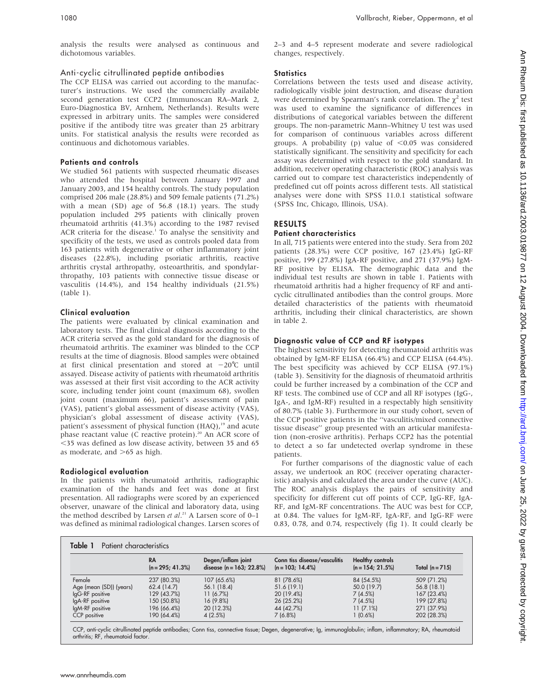analysis the results were analysed as continuous and dichotomous variables.

## Anti-cyclic citrullinated peptide antibodies

The CCP ELISA was carried out according to the manufacturer's instructions. We used the commercially available second generation test CCP2 (Immunoscan RA–Mark 2, Euro-Diagnostica BV, Arnhem, Netherlands). Results were expressed in arbitrary units. The samples were considered positive if the antibody titre was greater than 25 arbitrary units. For statistical analysis the results were recorded as continuous and dichotomous variables.

## Patients and controls

We studied 561 patients with suspected rheumatic diseases who attended the hospital between January 1997 and January 2003, and 154 healthy controls. The study population comprised 206 male (28.8%) and 509 female patients (71.2%) with a mean (SD) age of 56.8 (18.1) years. The study population included 295 patients with clinically proven rheumatoid arthritis (41.3%) according to the 1987 revised ACR criteria for the disease.<sup>1</sup> To analyse the sensitivity and specificity of the tests, we used as controls pooled data from 163 patients with degenerative or other inflammatory joint diseases (22.8%), including psoriatic arthritis, reactive arthritis crystal arthropathy, osteoarthritis, and spondylarthropathy, 103 patients with connective tissue disease or vasculitis (14.4%), and 154 healthy individuals (21.5%) (table 1).

## Clinical evaluation

The patients were evaluated by clinical examination and laboratory tests. The final clinical diagnosis according to the ACR criteria served as the gold standard for the diagnosis of rheumatoid arthritis. The examiner was blinded to the CCP results at the time of diagnosis. Blood samples were obtained at first clinical presentation and stored at  $-20^{\circ}$ C until assayed. Disease activity of patients with rheumatoid arthritis was assessed at their first visit according to the ACR activity score, including tender joint count (maximum 68), swollen joint count (maximum 66), patient's assessment of pain (VAS), patient's global assessment of disease activity (VAS), physician's global assessment of disease activity (VAS), patient's assessment of physical function (HAQ),<sup>19</sup> and acute phase reactant value (C reactive protein).<sup>20</sup> An ACR score of ,35 was defined as low disease activity, between 35 and 65 as moderate, and  $>65$  as high.

# Radiological evaluation

In the patients with rheumatoid arthritis, radiographic examination of the hands and feet was done at first presentation. All radiographs were scored by an experienced observer, unaware of the clinical and laboratory data, using the method described by Larsen et  $al.^{21}$  A Larsen score of  $0-1$ was defined as minimal radiological changes. Larsen scores of 2–3 and 4–5 represent moderate and severe radiological changes, respectively.

# **Statistics**

Correlations between the tests used and disease activity, radiologically visible joint destruction, and disease duration were determined by Spearman's rank correlation. The  $\chi^2$  test was used to examine the significance of differences in distributions of categorical variables between the different groups. The non-parametric Mann–Whitney U test was used for comparison of continuous variables across different groups. A probability (p) value of  $< 0.05$  was considered statistically significant. The sensitivity and specificity for each assay was determined with respect to the gold standard. In addition, receiver operating characteristic (ROC) analysis was carried out to compare test characteristics independently of predefined cut off points across different tests. All statistical analyses were done with SPSS 11.0.1 statistical software (SPSS Inc, Chicago, Illinois, USA).

# RESULTS

## Patient characteristics

In all, 715 patients were entered into the study. Sera from 202 patients (28.3%) were CCP positive, 167 (23.4%) IgG-RF positive, 199 (27.8%) IgA-RF positive, and 271 (37.9%) IgM-RF positive by ELISA. The demographic data and the individual test results are shown in table 1. Patients with rheumatoid arthritis had a higher frequency of RF and anticyclic citrullinated antibodies than the control groups. More detailed characteristics of the patients with rheumatoid arthritis, including their clinical characteristics, are shown in table 2.

## Diagnostic value of CCP and RF isotypes

The highest sensitivity for detecting rheumatoid arthritis was obtained by IgM-RF ELISA (66.4%) and CCP ELISA (64.4%). The best specificity was achieved by CCP ELISA (97.1%) (table 3). Sensitivity for the diagnosis of rheumatoid arthritis could be further increased by a combination of the CCP and RF tests. The combined use of CCP and all RF isotypes (IgG-, IgA-, and IgM-RF) resulted in a respectably high sensitivity of 80.7% (table 3). Furthermore in our study cohort, seven of the CCP positive patients in the ''vasculitis/mixed connective tissue disease'' group presented with an articular manifestation (non-erosive arthritis). Perhaps CCP2 has the potential to detect a so far undetected overlap syndrome in these patients.

For further comparisons of the diagnostic value of each assay, we undertook an ROC (receiver operating characteristic) analysis and calculated the area under the curve (AUC). The ROC analysis displays the pairs of sensitivity and specificity for different cut off points of CCP, IgG-RF, IgA-RF, and IgM-RF concentrations. The AUC was best for CCP, at 0.84. The values for IgM-RF, IgA-RF, and IgG-RF were 0.83, 0.78, and 0.74, respectively (fig 1). It could clearly be

|                         | <b>RA</b><br>$(n = 295; 41.3\%)$ | Degen/inflam joint<br>disease $(n = 163; 22.8\%)$ | Conn tiss disease/vasculitis<br>$(n = 103; 14.4\%)$ | <b>Healthy controls</b><br>$(n = 154; 21.5\%)$ | Total $(n = 715)$ |
|-------------------------|----------------------------------|---------------------------------------------------|-----------------------------------------------------|------------------------------------------------|-------------------|
| Female                  | 237 (80.3%)                      | 107 (65.6%)                                       | 81 (78.6%)                                          | 84 (54.5%)                                     | 509 (71.2%)       |
| Age (mean (SD)) (years) | 62.4 (14.7)                      | 56.1 (18.4)                                       | 51.6 (19.1)                                         | 50.0 (19.7)                                    | 56.8(18.1)        |
| IgG-RF positive         | 129 (43.7%)                      | 11(6.7%)                                          | 20 (19.4%)                                          | 7(4.5%)                                        | 167 (23.4%)       |
| IgA-RF positive         | 150 (50.8%)                      | $16(9.8\%)$                                       | 26 (25.2%)                                          | 7(4.5%)                                        | 199 (27.8%)       |
| IgM-RF positive         | 196 (66.4%)                      | 20 (12.3%)                                        | 44 (42.7%)                                          | 11(7.1%)                                       | 271 (37.9%)       |
| CCP positive            | 190 (64.4%)                      | 4(2.5%)                                           | 7(6.8%)                                             | 1 (0.6%)                                       | 202 (28.3%)       |

CCP, anti-cyclic citrullinated peptide antibodies; Conn tiss, connective tissue; Degen, degenerative; Ig, immunoglobulin; inflam, inflammatory; RA, rheumatoid arthritis; RF, rheumatoid factor.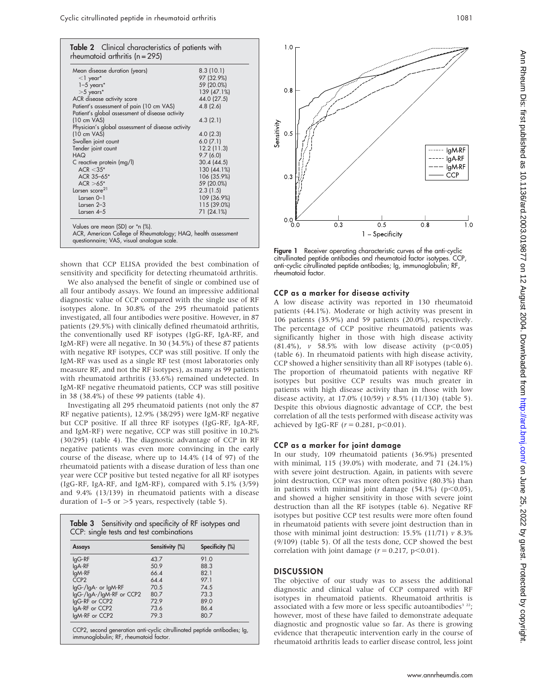| Mean disease duration (years)                     | 8.3(10.1)   |
|---------------------------------------------------|-------------|
| $<$ 1 year*                                       | 97 (32.9%)  |
| $1-5$ years*                                      | 59 (20.0%)  |
| $>5$ years*                                       | 139 (47.1%) |
| ACR disease activity score                        | 44.0 (27.5) |
| Patient's assessment of pain (10 cm VAS)          | 4.8(2.6)    |
| Patient's global assessment of disease activity   |             |
| $(10 \text{ cm } VAS)$                            | 4.3(2.1)    |
| Physician's global assessment of disease activity |             |
| $(10 \text{ cm } VAS)$                            | 4.0(2.3)    |
| Swollen joint count                               | 6.0(7.1)    |
| Tender joint count                                | 12.2(11.3)  |
| CAH                                               | 9.7(6.0)    |
| C reactive protein (mg/l)                         | 30.4 (44.5) |
| $ACR < 3.5*$                                      | 130 (44.1%) |
| ACR 35-65*                                        | 106 (35.9%) |
| $ACR > 65*$                                       | 59 (20.0%)  |
| Larsen score <sup>21</sup>                        | 2.3(1.5)    |
| $Larsen 0-1$                                      | 109 (36.9%) |
| Larsen $2-3$                                      | 115 (39.0%) |
| Larsen $4-5$                                      | 71 (24.1%)  |

shown that CCP ELISA provided the best combination of sensitivity and specificity for detecting rheumatoid arthritis.

We also analysed the benefit of single or combined use of all four antibody assays. We found an impressive additional diagnostic value of CCP compared with the single use of RF isotypes alone. In 30.8% of the 295 rheumatoid patients investigated, all four antibodies were positive. However, in 87 patients (29.5%) with clinically defined rheumatoid arthritis, the conventionally used RF isotypes (IgG-RF, IgA-RF, and IgM-RF) were all negative. In 30 (34.5%) of these 87 patients with negative RF isotypes, CCP was still positive. If only the IgM-RF was used as a single RF test (most laboratories only measure RF, and not the RF isotypes), as many as 99 patients with rheumatoid arthritis (33.6%) remained undetected. In IgM-RF negative rheumatoid patients, CCP was still positive in 38 (38.4%) of these 99 patients (table 4).

Investigating all 295 rheumatoid patients (not only the 87 RF negative patients), 12.9% (38/295) were IgM-RF negative but CCP positive. If all three RF isotypes (IgG-RF, IgA-RF, and IgM-RF) were negative, CCP was still positive in 10.2% (30/295) (table 4). The diagnostic advantage of CCP in RF negative patients was even more convincing in the early course of the disease, where up to 14.4% (14 of 97) of the rheumatoid patients with a disease duration of less than one year were CCP positive but tested negative for all RF isotypes (IgG-RF, IgA-RF, and IgM-RF), compared with 5.1% (3/59) and 9.4% (13/139) in rheumatoid patients with a disease duration of  $1-5$  or  $>5$  years, respectively (table 5).

| Assays                   | Sensitivity (%) | Specificity (%) |
|--------------------------|-----------------|-----------------|
| $IqG-RF$                 | 43.7            | 91.0            |
| lgA-RF                   | 50.9            | 88.3            |
| lgM-RF                   | 66.4            | 82.1            |
| CCP <sub>2</sub>         | 644             | 971             |
| IgG-/IgA- or IgM-RF      | 70.5            | 74.5            |
| IgG-/IgA-/IgM-RF or CCP2 | 80.7            | 73.3            |
| lgG-RF or CCP2           | 729             | 89 O            |
| lgA-RF or CCP2           | 73.6            | 86.4            |
| lgM-RF or CCP2           | 79.3            | 80.7            |



Figure 1 Receiver operating characteristic curves of the anti-cyclic citrullinated peptide antibodies and rheumatoid factor isotypes. CCP, anti-cyclic citrullinated peptide antibodies; Ig, immunoglobulin; RF, rheumatoid factor.

#### CCP as a marker for disease activity

A low disease activity was reported in 130 rheumatoid patients (44.1%). Moderate or high activity was present in 106 patients (35.9%) and 59 patients (20.0%), respectively. The percentage of CCP positive rheumatoid patients was significantly higher in those with high disease activity  $(81.4\%)$ , v 58.5% with low disease activity  $(p<0.05)$ (table 6). In rheumatoid patients with high disease activity, CCP showed a higher sensitivity than all RF isotypes (table 6). The proportion of rheumatoid patients with negative RF isotypes but positive CCP results was much greater in patients with high disease activity than in those with low disease activity, at 17.0% (10/59)  $v$  8.5% (11/130) (table 5). Despite this obvious diagnostic advantage of CCP, the best correlation of all the tests performed with disease activity was achieved by IgG-RF ( $r = 0.281$ ,  $p < 0.01$ ).

#### CCP as a marker for joint damage

In our study, 109 rheumatoid patients (36.9%) presented with minimal, 115 (39.0%) with moderate, and 71 (24.1%) with severe joint destruction. Again, in patients with severe joint destruction, CCP was more often positive (80.3%) than in patients with minimal joint damage  $(54.1\%)$   $(p<0.05)$ , and showed a higher sensitivity in those with severe joint destruction than all the RF isotypes (table 6). Negative RF isotypes but positive CCP test results were more often found in rheumatoid patients with severe joint destruction than in those with minimal joint destruction: 15.5% (11/71)  $v$  8.3% (9/109) (table 5). Of all the tests done, CCP showed the best correlation with joint damage ( $r = 0.217$ ,  $p < 0.01$ ).

#### **DISCUSSION**

The objective of our study was to assess the additional diagnostic and clinical value of CCP compared with RF isotypes in rheumatoid patients. Rheumatoid arthritis is associated with a few more or less specific autoantibodies<sup>3</sup><sup>22</sup>; however, most of these have failed to demonstrate adequate diagnostic and prognostic value so far. As there is growing evidence that therapeutic intervention early in the course of rheumatoid arthritis leads to earlier disease control, less joint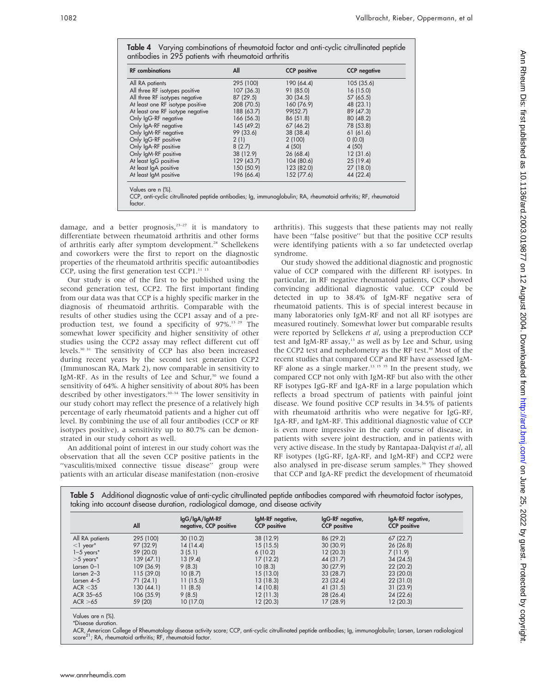Table 4 Varying combinations of rheumatoid factor and anti-cyclic citrullinated peptide antibodies in 295 patients with rheumatoid arthritis

| <b>RF</b> combinations           | All        | <b>CCP</b> positive | <b>CCP</b> negative |
|----------------------------------|------------|---------------------|---------------------|
| All RA patients                  | 295 (100)  | 190 (64.4)          | 105(35.6)           |
| All three RF isotypes positive   | 107(36.3)  | 91 (85.0)           | 16(15.0)            |
| All three RF isotypes negative   | 87(29.5)   | 30(34.5)            | 57 (65.5)           |
| At least one RF isotype positive | 208 (70.5) | 160 (76.9)          | 48 (23.1)           |
| At least one RF isotype negative | 188 (63.7) | 99(52.7)            | 89 (47.3)           |
| Only IgG-RF negative             | 166 (56.3) | 86 (51.8)           | 80(48.2)            |
| Only IgA-RF negative             | 145(49.2)  | 67(46.2)            | 78 (53.8)           |
| Only IgM-RF negative             | 99 (33.6)  | 38 (38.4)           | 61(61.6)            |
| Only IgG-RF positive             | 2(1)       | 2(100)              | 0(0.0)              |
| Only IgA-RF positive             | 8(2.7)     | 4(50)               | 4 (50)              |
| Only IgM-RF positive             | 38 (12.9)  | 26(68.4)            | 12(31.6)            |
| At least IgG positive            | 129(43.7)  | 104 (80.6)          | 25(19.4)            |
| At least IgA positive            | 150 (50.9) | 123 (82.0)          | 27 (18.0)           |
| At least IgM positive            | 196 (66.4) | 152 (77.6)          | 44 (22.4)           |

CCP, anti-cyclic citrullinated peptide antibodies; Ig, immunoglobulin; RA, rheumatoid arthritis; RF, rheumatoid factor.

damage, and a better prognosis, $2^{3-27}$  it is mandatory to differentiate between rheumatoid arthritis and other forms of arthritis early after symptom development.<sup>28</sup> Schellekens and coworkers were the first to report on the diagnostic properties of the rheumatoid arthritis specific autoantibodies CCP, using the first generation test CCP1. $11$  13

Our study is one of the first to be published using the second generation test, CCP2. The first important finding from our data was that CCP is a highly specific marker in the diagnosis of rheumatoid arthritis. Comparable with the results of other studies using the CCP1 assay and of a preproduction test, we found a specificity of 97%.<sup>13 29</sup> The somewhat lower specificity and higher sensitivity of other studies using the CCP2 assay may reflect different cut off levels.30 31 The sensitivity of CCP has also been increased during recent years by the second test generation CCP2 (Immunoscan RA, Mark 2), now comparable in sensitivity to IgM-RF. As in the results of Lee and Schur, $30$  we found a sensitivity of 64%. A higher sensitivity of about 80% has been described by other investigators.<sup>30-34</sup> The lower sensitivity in our study cohort may reflect the presence of a relatively high percentage of early rheumatoid patients and a higher cut off level. By combining the use of all four antibodies (CCP or RF isotypes positive), a sensitivity up to 80.7% can be demonstrated in our study cohort as well.

An additional point of interest in our study cohort was the observation that all the seven CCP positive patients in the "vasculitis/mixed connective tissue disease" group were patients with an articular disease manifestation (non-erosive

arthritis). This suggests that these patients may not really have been "false positive" but that the positive CCP results were identifying patients with a so far undetected overlap syndrome.

Our study showed the additional diagnostic and prognostic value of CCP compared with the different RF isotypes. In particular, in RF negative rheumatoid patients, CCP showed convincing additional diagnostic value. CCP could be detected in up to 38.4% of IgM-RF negative sera of rheumatoid patients. This is of special interest because in many laboratories only IgM-RF and not all RF isotypes are measured routinely. Somewhat lower but comparable results were reported by Sellekens et al, using a preproduction CCP test and IgM-RF assay,<sup>13</sup> as well as by Lee and Schur, using the CCP2 test and nephelometry as the RF test.<sup>30</sup> Most of the recent studies that compared CCP and RF have assessed IgM-RF alone as a single marker.<sup>13 15 35</sup> In the present study, we compared CCP not only with IgM-RF but also with the other RF isotypes IgG-RF and IgA-RF in a large population which reflects a broad spectrum of patients with painful joint disease. We found positive CCP results in 34.5% of patients with rheumatoid arthritis who were negative for IgG-RF, IgA-RF, and IgM-RF. This additional diagnostic value of CCP is even more impressive in the early course of disease, in patients with severe joint destruction, and in patients with very active disease. In the study by Rantapaa-Dalqvist et al, all RF isotypes (IgG-RF, IgA-RF, and IgM-RF) and CCP2 were also analysed in pre-disease serum samples.<sup>36</sup> They showed that CCP and IgA-RF predict the development of rheumatoid

 $\sim$   $\sim$ 

|                 | All        | $lgG/lgA/lgM-RF$<br>negative, CCP positive | IgM-RF negative,<br><b>CCP</b> positive | lgG-RF negative,<br><b>CCP</b> positive | IgA-RF negative,<br><b>CCP</b> positive |
|-----------------|------------|--------------------------------------------|-----------------------------------------|-----------------------------------------|-----------------------------------------|
| All RA patients | 295 (100)  | 30(10.2)                                   | 38 (12.9)                               | 86 (29.2)                               | 67(22.7)                                |
| $<$ ] year*     | 97 (32.9)  | 14(14.4)                                   | 15(15.5)                                | 30(30.9)                                | 26(26.8)                                |
| $1-5$ years*    | 59 (20.0)  | 3(5.1)                                     | 6(10.2)                                 | 12(20.3)                                | 7(11.9)                                 |
| $>5$ years*     | 139(47.1)  | 13(9.4)                                    | 17(12.2)                                | 44 (31.7)                               | 34(24.5)                                |
| Larsen $0-1$    | 109 (36.9) | 9(8.3)                                     | 10(8.3)                                 | 30(27.9)                                | 22(20.2)                                |
| Larsen $2-3$    | 115 (39.0) | 10(8.7)                                    | 15 (13.0)                               | 33(28.7)                                | 23(20.0)                                |
| Larsen $4-5$    | 71(24.1)   | 11(15.5)                                   | 13 (18.3)                               | 23(32.4)                                | 22(31.0)                                |
| ACR < 35        | 130 (44.1) | 11(8.5)                                    | 14 (10.8)                               | 41 (31.5)                               | 31(23.9)                                |
| ACR 35-65       | 106 (35.9) | 9(8.5)                                     | 12 (11.3)                               | 28(26.4)                                | 24 (22.6)                               |
| ACR > 65        | 59 (20)    | 10(17.0)                                   | 12 (20.3)                               | 17 (28.9)                               | 12 (20.3)                               |

Values are n (%).

\*Disease duration.

ACR, American College of Rheumatology disease activity score; CCP, anti-cyclic citrullinated peptide antibodies; Ig, immunoglobulin; Larsen, Larsen radiological score<sup>21</sup>; RA, rheumatoid arthritis; RF, rheumatoid factor.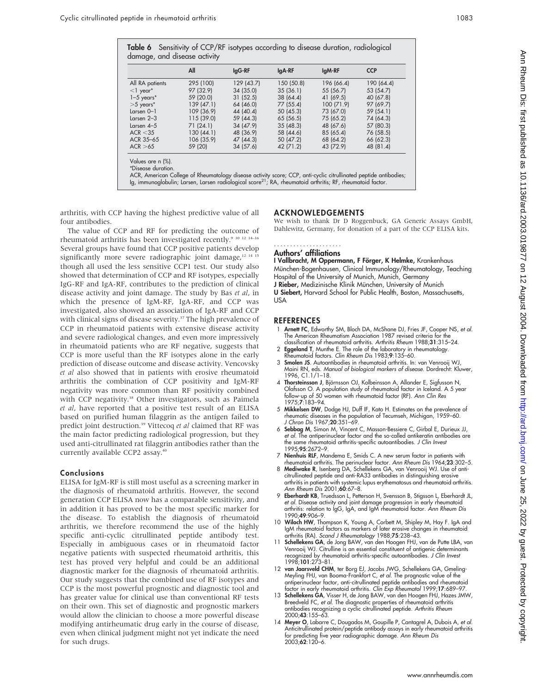|                 | All        | lgG-RF     | lgA-RF     | lgM-RF     | <b>CCP</b> |
|-----------------|------------|------------|------------|------------|------------|
| All RA patients | 295 (100)  | 129 (43.7) | 150 (50.8) | 196 (66.4) | 190 (64.4) |
| $<$ l year*     | 97 (32.9)  | 34 (35.0)  | 35(36.1)   | 55 (56.7)  | 53 (54.7)  |
| $1-5$ years*    | 59 (20.0)  | 31(52.5)   | 38 (64.4)  | 41 (69.5)  | 40 (67.8)  |
| $>5$ years*     | 139 (47.1) | 64 (46.0)  | 77 (55.4)  | 100 (71.9) | 97 (69.7)  |
| Larsen 0-1      | 109 (36.9) | 44 (40.4)  | 50(45.3)   | 73 (67.0)  | 59 (54.1)  |
| Larsen 2–3      | 115 (39.0) | 59 (44.3)  | 65(56.5)   | 75 (65.2)  | 74 (64.3)  |
| Larsen $4-5$    | 71(24.1)   | 34 (47.9)  | 35(48.3)   | 48 (67.6)  | 57 (80.3)  |
| ACR < 35        | 130(44.1)  | 48 (36.9)  | 58 (44.6)  | 85 (65.4)  | 76 (58.5)  |
| ACR 35-65       | 106 (35.9) | 47 (44.3)  | 50 (47.2)  | 68 (64.2)  | 66 (62.3)  |
| ACR > 65        | 59 (20)    | 34(57.6)   | 42 (71.2)  | 43 (72.9)  | 48 (81.4)  |

arthritis, with CCP having the highest predictive value of all four antibodies.

The value of CCP and RF for predicting the outcome of rheumatoid arthritis has been investigated recently.<sup>9 10 12 14-16</sup> Several groups have found that CCP positive patients develop significantly more severe radiographic joint damage,<sup>12 14</sup> <sup>15</sup> though all used the less sensitive CCP1 test. Our study also showed that determination of CCP and RF isotypes, especially IgG-RF and IgA-RF, contributes to the prediction of clinical disease activity and joint damage. The study by Bas et al, in which the presence of IgM-RF, IgA-RF, and CCP was investigated, also showed an association of IgA-RF and CCP with clinical signs of disease severity.<sup>37</sup> The high prevalence of CCP in rheumatoid patients with extensive disease activity and severe radiological changes, and even more impressively in rheumatoid patients who are RF negative, suggests that CCP is more useful than the RF isotypes alone in the early prediction of disease outcome and disease activity. Vencovsky et al also showed that in patients with erosive rheumatoid arthritis the combination of CCP positivity and IgM-RF negativity was more common than RF positivity combined with CCP negativity.<sup>38</sup> Other investigators, such as Paimela et al, have reported that a positive test result of an ELISA based on purified human filaggrin as the antigen failed to predict joint destruction.<sup>39</sup> Vittecoq et al claimed that RF was the main factor predicting radiological progression, but they used anti-citrullinated rat filaggrin antibodies rather than the currently available CCP2 assay.40

#### Conclusions

ELISA for IgM-RF is still most useful as a screening marker in the diagnosis of rheumatoid arthritis. However, the second generation CCP ELISA now has a comparable sensitivity, and in addition it has proved to be the most specific marker for the disease. To establish the diagnosis of rheumatoid arthritis, we therefore recommend the use of the highly specific anti-cyclic citrullinated peptide antibody test. Especially in ambiguous cases or in rheumatoid factor negative patients with suspected rheumatoid arthritis, this test has proved very helpful and could be an additional diagnostic marker for the diagnosis of rheumatoid arthritis. Our study suggests that the combined use of RF isotypes and CCP is the most powerful prognostic and diagnostic tool and has greater value for clinical use than conventional RF tests on their own. This set of diagnostic and prognostic markers would allow the clinician to choose a more powerful disease modifying antirheumatic drug early in the course of disease, even when clinical judgment might not yet indicate the need for such drugs.

#### ACKNOWLEDGEMENTS

We wish to thank Dr D Roggenbuck, GA Generic Assays GmbH, Dahlewitz, Germany, for donation of a part of the CCP ELISA kits.

#### Authors' affiliations .....................

I Vallbracht, M Oppermann, F Förger, K Helmke, Krankenhaus München-Bogenhausen, Clinical Immunology/Rheumatology, Teaching Hospital of the University of Munich, Munich, Germany J Rieber, Medizinische Klinik München, University of Munich U Siebert, Harvard School for Public Health, Boston, Massachusetts, USA

#### REFERENCES

- Arnett FC, Edworthy SM, Bloch DA, McShane DJ, Fries JF, Cooper NS, et al. The American Rheumatism Association 1987 revised criteria for the classification of rheumatoid arthritis. Arthritis Rheum 1988;31:315–24.
- 2 Eggeland T, Munthe E. The role of the laboratory in rheumatology. Rheumatoid factors. Clin Rheum Dis 1983;9:135–60.
- 3 Smolen JS. Autoantibodies in rheumatoid arthritis. In: van Venrooij WJ, Maini RN, eds. Manual of biological markers of disease. Dordrecht: Kluwer, 1996, C1.1/1–18.
- 4 Thorsteinsson J, Björnsson OJ, Kolbeinsson A, Allander E, Sigfusson N, Olafsson O. A population study of rheumatoid factor in Iceland. A 5 year follow-up of 50 women with rheumatoid factor (RF). Ann Clin Res 1975;7:183–94.
- 5 Mikkelsen DW, Dodge HJ, Duff IF, Kato H. Estimates on the prevalence of rheumatic diseases in the population of Tecumseh, Michigan, 1959–60. J Chron Dis 1967;20:351–69.
- 6 Sebbag M, Simon M, Vincent C, Masson-Bessiere C, Girbal E, Durieux JJ, et al. The antiperinuclear factor and the so-called antikeratin antibodies are the same rheumatoid arthritis-specific autoantibodies. J Clin Invest 1995;95:2672–9.
- 7 Nienhuis RLF, Mandema E, Smids C. A new serum factor in patients with rheumatoid arthritis. The perinuclear factor. Ann Rheum Dis 1964;23:302–5.
- 8 Mediwake R, Isenberg DA, Schellekens GA, van Venrooij WJ. Use of anticitrullinated peptide and anti-RA33 antibodies in distinguishing erosive arthritis in patients with systemic lupus erythematosus and rheumatoid arthritis. Ann Rheum Dis 2001;60:67–8.
- 9 Eberhardt KB, Truedsson L, Petterson H, Svensson B, Stigsson L, Eberhardt JL, e*t al.* Disease activity and joint damage progression in early rheumatoid<br>arthritis: relation to IgG, IgA, and IgM rheumatoid factor. *Ann Rheum Dis* 1990;49:906–9.
- 10 Wiloch HW, Thompson K, Young A, Corbett M, Shipley M, Hay F. IgA and IgM rheumatoid factors as markers of later erosive changes in rheumatoid arthritis (RA). Scand J Rheumatology 1988;75:238–43.
- Schellekens GA, de Jong BAW, van den Hoogen FHJ, van de Putte LBA, van Venrooij WJ. Citrulline is an essential constituent of antigenic determinants recognized by rheumatoid arthritis-specific autoantibodies. J Clin Invest<br>1998;**101**:273–81.
- 12 van Jaarsveld CHM, ter Borg EJ, Jacobs JWG, Schellekens GA, Gmeling-Meyling FHJ, van Booma-Frankfort C, et al. The prognostic value of the antiperinuclear factor, anti-citrullinated peptide antibodies and rheumatoid factor in early rheumatoid arthritis. Clin Exp Rheumatol 1999;17:689–97.
- 13 Schellekens GA, Visser H, de Jong BAW, van den Hoogen FHJ, Hazes JMW, Breedveld FC, *et al.* The diagnostic properties of rheumatoid arthritis<br>antibodies recognizing a cyclic citrullinated peptide. *Arthritis Rheum* 2000;43:155–63.
- 14 Meyer O, Labarre C, Dougados M, Goupille P, Cantagrel A, Dubois A, et al. Anticitrullinated protein/peptide antibody assays in early rheumatoid arthritis for predicting five year radiographic damage. Ann Rheum Dis 2003;62:120–6.